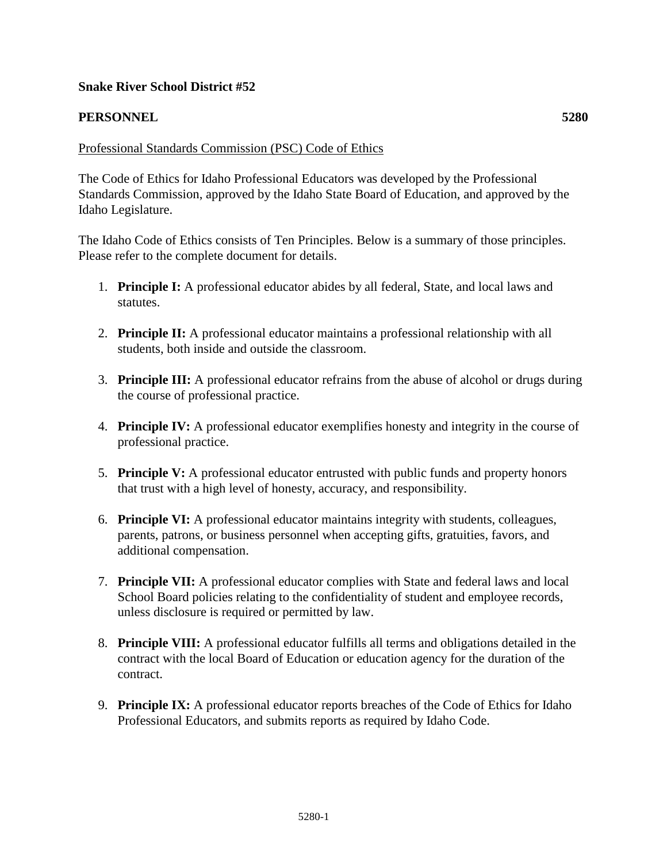### **Snake River School District #52**

#### **PERSONNEL 5280**

#### Professional Standards Commission (PSC) Code of Ethics

The Code of Ethics for Idaho Professional Educators was developed by the Professional Standards Commission, approved by the Idaho State Board of Education, and approved by the Idaho Legislature.

The Idaho Code of Ethics consists of Ten Principles. Below is a summary of those principles. Please refer to the complete document for details.

- 1. **Principle I:** A professional educator abides by all federal, State, and local laws and statutes.
- 2. **Principle II:** A professional educator maintains a professional relationship with all students, both inside and outside the classroom.
- 3. **Principle III:** A professional educator refrains from the abuse of alcohol or drugs during the course of professional practice.
- 4. **Principle IV:** A professional educator exemplifies honesty and integrity in the course of professional practice.
- 5. **Principle V:** A professional educator entrusted with public funds and property honors that trust with a high level of honesty, accuracy, and responsibility.
- 6. **Principle VI:** A professional educator maintains integrity with students, colleagues, parents, patrons, or business personnel when accepting gifts, gratuities, favors, and additional compensation.
- 7. **Principle VII:** A professional educator complies with State and federal laws and local School Board policies relating to the confidentiality of student and employee records, unless disclosure is required or permitted by law.
- 8. **Principle VIII:** A professional educator fulfills all terms and obligations detailed in the contract with the local Board of Education or education agency for the duration of the contract.
- 9. **Principle IX:** A professional educator reports breaches of the Code of Ethics for Idaho Professional Educators, and submits reports as required by Idaho Code.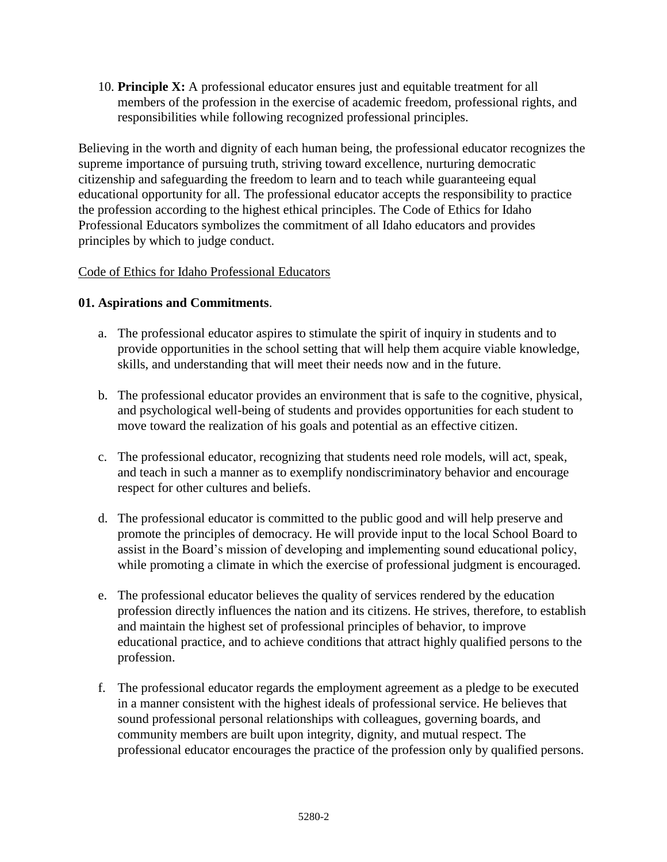10. **Principle X:** A professional educator ensures just and equitable treatment for all members of the profession in the exercise of academic freedom, professional rights, and responsibilities while following recognized professional principles.

Believing in the worth and dignity of each human being, the professional educator recognizes the supreme importance of pursuing truth, striving toward excellence, nurturing democratic citizenship and safeguarding the freedom to learn and to teach while guaranteeing equal educational opportunity for all. The professional educator accepts the responsibility to practice the profession according to the highest ethical principles. The Code of Ethics for Idaho Professional Educators symbolizes the commitment of all Idaho educators and provides principles by which to judge conduct.

### Code of Ethics for Idaho Professional Educators

## **01. Aspirations and Commitments**.

- a. The professional educator aspires to stimulate the spirit of inquiry in students and to provide opportunities in the school setting that will help them acquire viable knowledge, skills, and understanding that will meet their needs now and in the future.
- b. The professional educator provides an environment that is safe to the cognitive, physical, and psychological well-being of students and provides opportunities for each student to move toward the realization of his goals and potential as an effective citizen.
- c. The professional educator, recognizing that students need role models, will act, speak, and teach in such a manner as to exemplify nondiscriminatory behavior and encourage respect for other cultures and beliefs.
- d. The professional educator is committed to the public good and will help preserve and promote the principles of democracy. He will provide input to the local School Board to assist in the Board's mission of developing and implementing sound educational policy, while promoting a climate in which the exercise of professional judgment is encouraged.
- e. The professional educator believes the quality of services rendered by the education profession directly influences the nation and its citizens. He strives, therefore, to establish and maintain the highest set of professional principles of behavior, to improve educational practice, and to achieve conditions that attract highly qualified persons to the profession.
- f. The professional educator regards the employment agreement as a pledge to be executed in a manner consistent with the highest ideals of professional service. He believes that sound professional personal relationships with colleagues, governing boards, and community members are built upon integrity, dignity, and mutual respect. The professional educator encourages the practice of the profession only by qualified persons.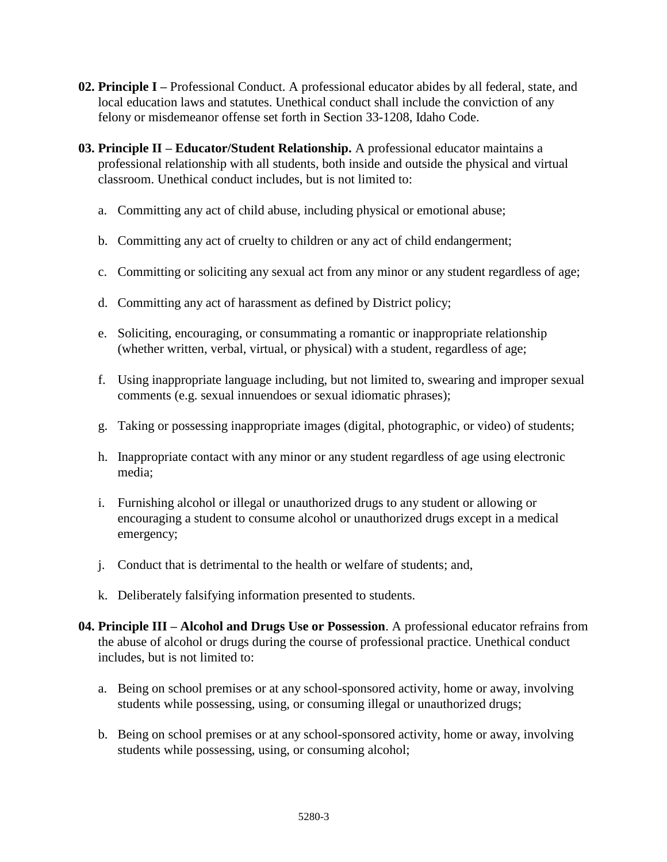- **02. Principle I –** Professional Conduct. A professional educator abides by all federal, state, and local education laws and statutes. Unethical conduct shall include the conviction of any felony or misdemeanor offense set forth in Section 33-1208, Idaho Code.
- **03. Principle II – Educator/Student Relationship.** A professional educator maintains a professional relationship with all students, both inside and outside the physical and virtual classroom. Unethical conduct includes, but is not limited to:
	- a. Committing any act of child abuse, including physical or emotional abuse;
	- b. Committing any act of cruelty to children or any act of child endangerment;
	- c. Committing or soliciting any sexual act from any minor or any student regardless of age;
	- d. Committing any act of harassment as defined by District policy;
	- e. Soliciting, encouraging, or consummating a romantic or inappropriate relationship (whether written, verbal, virtual, or physical) with a student, regardless of age;
	- f. Using inappropriate language including, but not limited to, swearing and improper sexual comments (e.g. sexual innuendoes or sexual idiomatic phrases);
	- g. Taking or possessing inappropriate images (digital, photographic, or video) of students;
	- h. Inappropriate contact with any minor or any student regardless of age using electronic media;
	- i. Furnishing alcohol or illegal or unauthorized drugs to any student or allowing or encouraging a student to consume alcohol or unauthorized drugs except in a medical emergency;
	- j. Conduct that is detrimental to the health or welfare of students; and,
	- k. Deliberately falsifying information presented to students.
- **04. Principle III – Alcohol and Drugs Use or Possession**. A professional educator refrains from the abuse of alcohol or drugs during the course of professional practice. Unethical conduct includes, but is not limited to:
	- a. Being on school premises or at any school-sponsored activity, home or away, involving students while possessing, using, or consuming illegal or unauthorized drugs;
	- b. Being on school premises or at any school-sponsored activity, home or away, involving students while possessing, using, or consuming alcohol;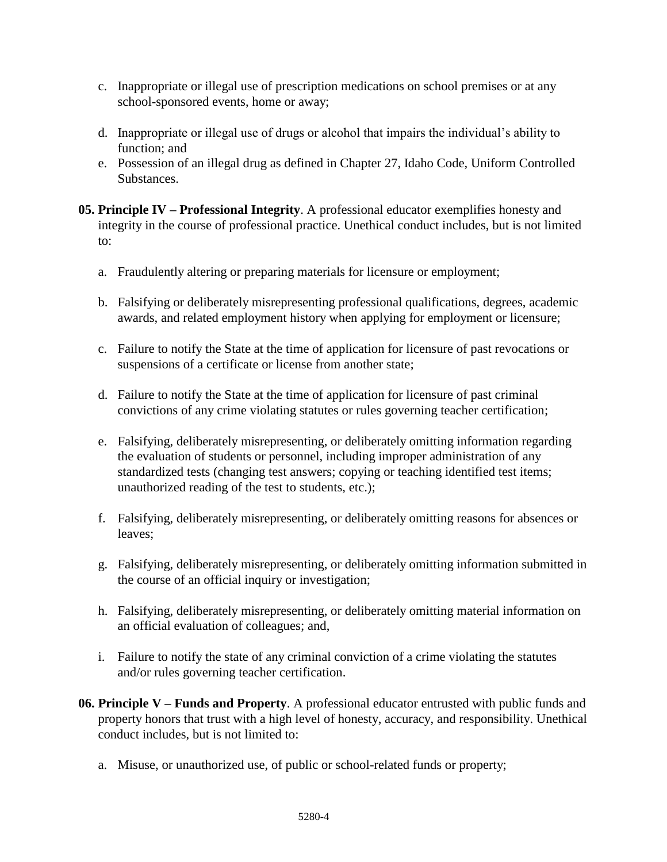- c. Inappropriate or illegal use of prescription medications on school premises or at any school-sponsored events, home or away;
- d. Inappropriate or illegal use of drugs or alcohol that impairs the individual's ability to function; and
- e. Possession of an illegal drug as defined in Chapter 27, Idaho Code, Uniform Controlled Substances.
- **05. Principle IV – Professional Integrity**. A professional educator exemplifies honesty and integrity in the course of professional practice. Unethical conduct includes, but is not limited to:
	- a. Fraudulently altering or preparing materials for licensure or employment;
	- b. Falsifying or deliberately misrepresenting professional qualifications, degrees, academic awards, and related employment history when applying for employment or licensure;
	- c. Failure to notify the State at the time of application for licensure of past revocations or suspensions of a certificate or license from another state;
	- d. Failure to notify the State at the time of application for licensure of past criminal convictions of any crime violating statutes or rules governing teacher certification;
	- e. Falsifying, deliberately misrepresenting, or deliberately omitting information regarding the evaluation of students or personnel, including improper administration of any standardized tests (changing test answers; copying or teaching identified test items; unauthorized reading of the test to students, etc.);
	- f. Falsifying, deliberately misrepresenting, or deliberately omitting reasons for absences or leaves;
	- g. Falsifying, deliberately misrepresenting, or deliberately omitting information submitted in the course of an official inquiry or investigation;
	- h. Falsifying, deliberately misrepresenting, or deliberately omitting material information on an official evaluation of colleagues; and,
	- i. Failure to notify the state of any criminal conviction of a crime violating the statutes and/or rules governing teacher certification.
- **06. Principle V – Funds and Property**. A professional educator entrusted with public funds and property honors that trust with a high level of honesty, accuracy, and responsibility. Unethical conduct includes, but is not limited to:
	- a. Misuse, or unauthorized use, of public or school-related funds or property;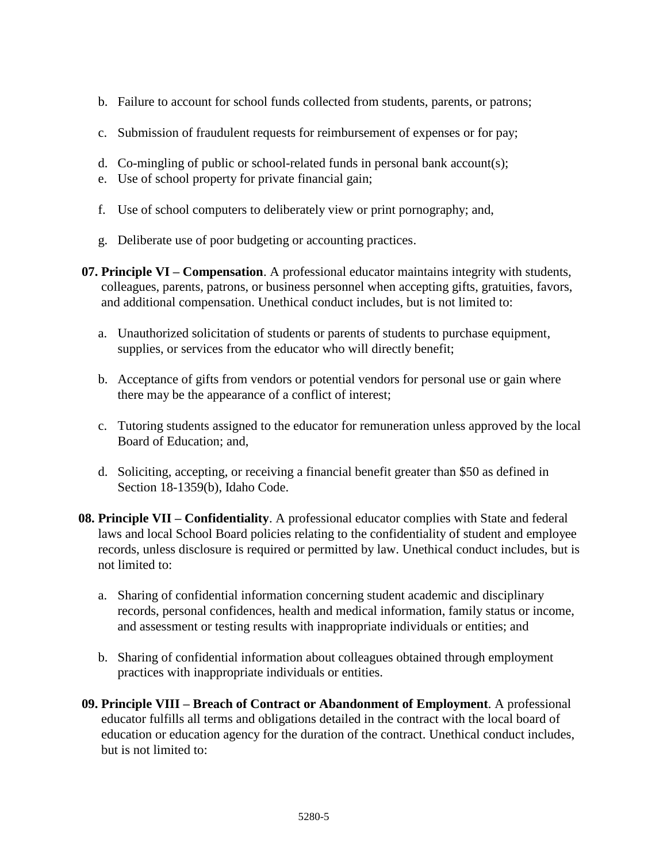- b. Failure to account for school funds collected from students, parents, or patrons;
- c. Submission of fraudulent requests for reimbursement of expenses or for pay;
- d. Co-mingling of public or school-related funds in personal bank account(s);
- e. Use of school property for private financial gain;
- f. Use of school computers to deliberately view or print pornography; and,
- g. Deliberate use of poor budgeting or accounting practices.
- **07. Principle VI – Compensation**. A professional educator maintains integrity with students, colleagues, parents, patrons, or business personnel when accepting gifts, gratuities, favors, and additional compensation. Unethical conduct includes, but is not limited to:
	- a. Unauthorized solicitation of students or parents of students to purchase equipment, supplies, or services from the educator who will directly benefit;
	- b. Acceptance of gifts from vendors or potential vendors for personal use or gain where there may be the appearance of a conflict of interest;
	- c. Tutoring students assigned to the educator for remuneration unless approved by the local Board of Education; and,
	- d. Soliciting, accepting, or receiving a financial benefit greater than \$50 as defined in Section 18-1359(b), Idaho Code.
- **08. Principle VII – Confidentiality**. A professional educator complies with State and federal laws and local School Board policies relating to the confidentiality of student and employee records, unless disclosure is required or permitted by law. Unethical conduct includes, but is not limited to:
	- a. Sharing of confidential information concerning student academic and disciplinary records, personal confidences, health and medical information, family status or income, and assessment or testing results with inappropriate individuals or entities; and
	- b. Sharing of confidential information about colleagues obtained through employment practices with inappropriate individuals or entities.
- **09. Principle VIII – Breach of Contract or Abandonment of Employment**. A professional educator fulfills all terms and obligations detailed in the contract with the local board of education or education agency for the duration of the contract. Unethical conduct includes, but is not limited to: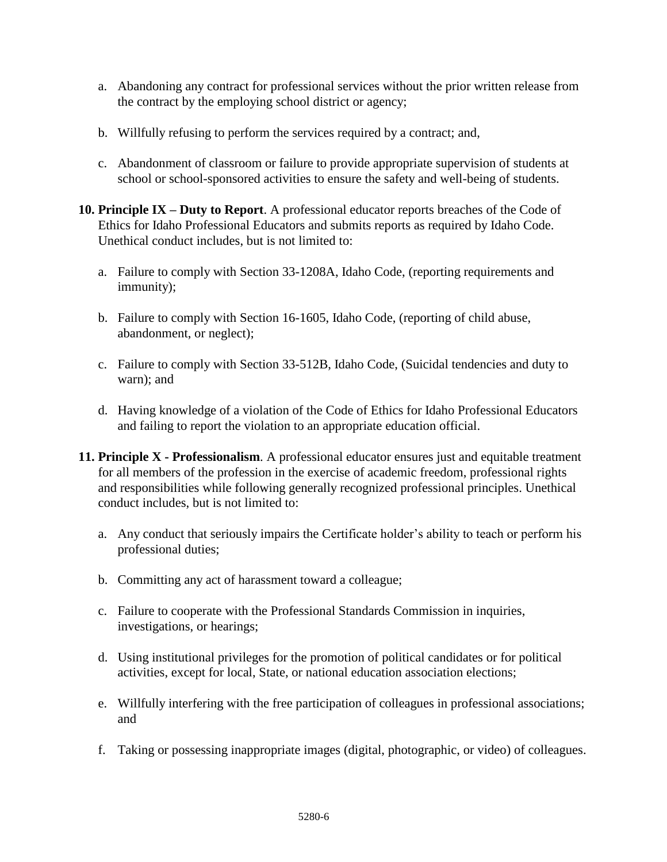- a. Abandoning any contract for professional services without the prior written release from the contract by the employing school district or agency;
- b. Willfully refusing to perform the services required by a contract; and,
- c. Abandonment of classroom or failure to provide appropriate supervision of students at school or school-sponsored activities to ensure the safety and well-being of students.
- **10. Principle IX – Duty to Report**. A professional educator reports breaches of the Code of Ethics for Idaho Professional Educators and submits reports as required by Idaho Code. Unethical conduct includes, but is not limited to:
	- a. Failure to comply with Section 33-1208A, Idaho Code, (reporting requirements and immunity);
	- b. Failure to comply with Section 16-1605, Idaho Code, (reporting of child abuse, abandonment, or neglect);
	- c. Failure to comply with Section 33-512B, Idaho Code, (Suicidal tendencies and duty to warn); and
	- d. Having knowledge of a violation of the Code of Ethics for Idaho Professional Educators and failing to report the violation to an appropriate education official.
- **11. Principle X - Professionalism**. A professional educator ensures just and equitable treatment for all members of the profession in the exercise of academic freedom, professional rights and responsibilities while following generally recognized professional principles. Unethical conduct includes, but is not limited to:
	- a. Any conduct that seriously impairs the Certificate holder's ability to teach or perform his professional duties;
	- b. Committing any act of harassment toward a colleague;
	- c. Failure to cooperate with the Professional Standards Commission in inquiries, investigations, or hearings;
	- d. Using institutional privileges for the promotion of political candidates or for political activities, except for local, State, or national education association elections;
	- e. Willfully interfering with the free participation of colleagues in professional associations; and
	- f. Taking or possessing inappropriate images (digital, photographic, or video) of colleagues.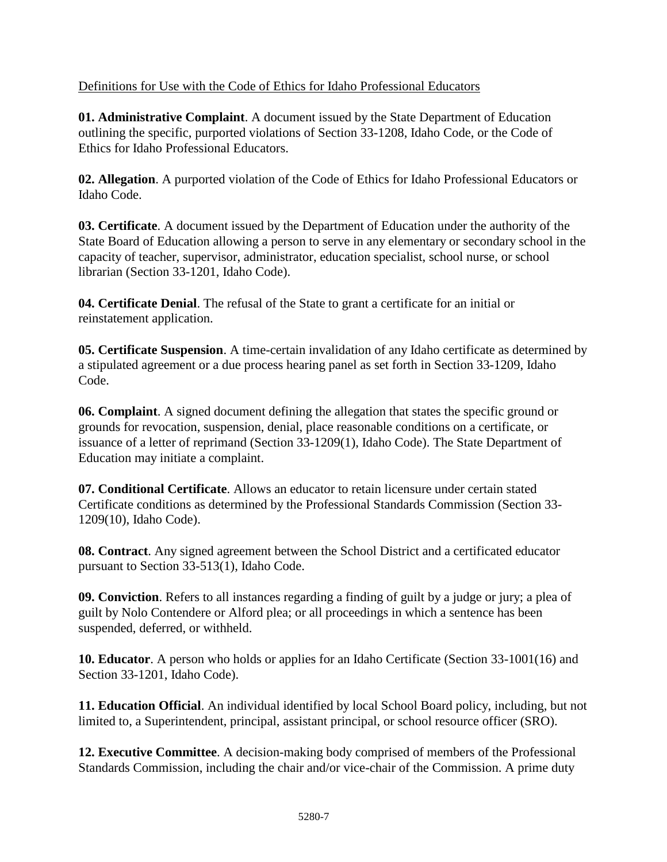# Definitions for Use with the Code of Ethics for Idaho Professional Educators

**01. Administrative Complaint**. A document issued by the State Department of Education outlining the specific, purported violations of Section 33-1208, Idaho Code, or the Code of Ethics for Idaho Professional Educators.

**02. Allegation**. A purported violation of the Code of Ethics for Idaho Professional Educators or Idaho Code.

**03. Certificate**. A document issued by the Department of Education under the authority of the State Board of Education allowing a person to serve in any elementary or secondary school in the capacity of teacher, supervisor, administrator, education specialist, school nurse, or school librarian (Section 33-1201, Idaho Code).

**04. Certificate Denial**. The refusal of the State to grant a certificate for an initial or reinstatement application.

**05. Certificate Suspension**. A time-certain invalidation of any Idaho certificate as determined by a stipulated agreement or a due process hearing panel as set forth in Section 33-1209, Idaho Code.

**06. Complaint**. A signed document defining the allegation that states the specific ground or grounds for revocation, suspension, denial, place reasonable conditions on a certificate, or issuance of a letter of reprimand (Section 33-1209(1), Idaho Code). The State Department of Education may initiate a complaint.

**07. Conditional Certificate**. Allows an educator to retain licensure under certain stated Certificate conditions as determined by the Professional Standards Commission (Section 33- 1209(10), Idaho Code).

**08. Contract**. Any signed agreement between the School District and a certificated educator pursuant to Section 33-513(1), Idaho Code.

**09. Conviction**. Refers to all instances regarding a finding of guilt by a judge or jury; a plea of guilt by Nolo Contendere or Alford plea; or all proceedings in which a sentence has been suspended, deferred, or withheld.

**10. Educator**. A person who holds or applies for an Idaho Certificate (Section 33-1001(16) and Section 33-1201, Idaho Code).

**11. Education Official**. An individual identified by local School Board policy, including, but not limited to, a Superintendent, principal, assistant principal, or school resource officer (SRO).

**12. Executive Committee**. A decision-making body comprised of members of the Professional Standards Commission, including the chair and/or vice-chair of the Commission. A prime duty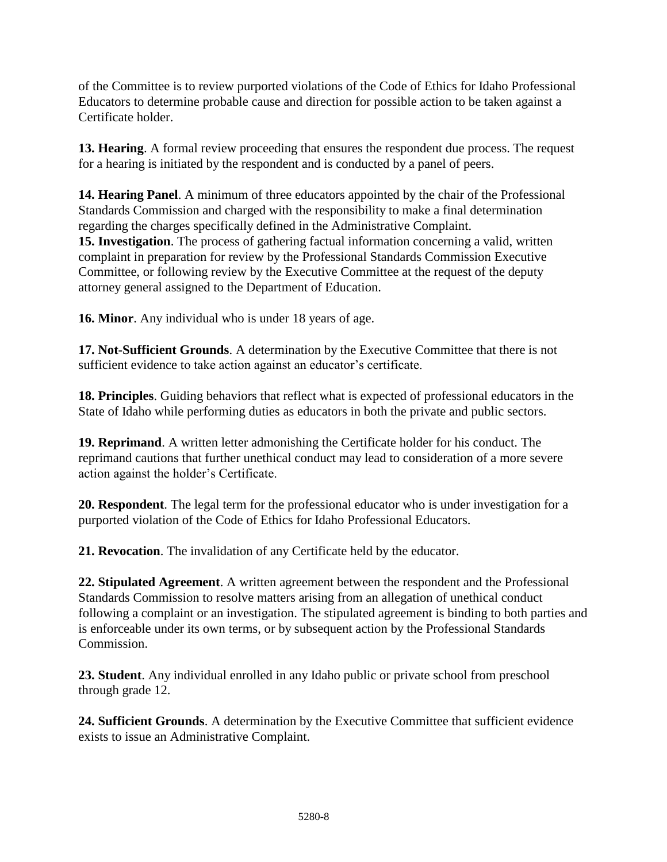of the Committee is to review purported violations of the Code of Ethics for Idaho Professional Educators to determine probable cause and direction for possible action to be taken against a Certificate holder.

**13. Hearing**. A formal review proceeding that ensures the respondent due process. The request for a hearing is initiated by the respondent and is conducted by a panel of peers.

**14. Hearing Panel**. A minimum of three educators appointed by the chair of the Professional Standards Commission and charged with the responsibility to make a final determination regarding the charges specifically defined in the Administrative Complaint. **15. Investigation**. The process of gathering factual information concerning a valid, written complaint in preparation for review by the Professional Standards Commission Executive Committee, or following review by the Executive Committee at the request of the deputy attorney general assigned to the Department of Education.

**16. Minor**. Any individual who is under 18 years of age.

**17. Not-Sufficient Grounds**. A determination by the Executive Committee that there is not sufficient evidence to take action against an educator's certificate.

**18. Principles**. Guiding behaviors that reflect what is expected of professional educators in the State of Idaho while performing duties as educators in both the private and public sectors.

**19. Reprimand**. A written letter admonishing the Certificate holder for his conduct. The reprimand cautions that further unethical conduct may lead to consideration of a more severe action against the holder's Certificate.

**20. Respondent**. The legal term for the professional educator who is under investigation for a purported violation of the Code of Ethics for Idaho Professional Educators.

**21. Revocation**. The invalidation of any Certificate held by the educator.

**22. Stipulated Agreement**. A written agreement between the respondent and the Professional Standards Commission to resolve matters arising from an allegation of unethical conduct following a complaint or an investigation. The stipulated agreement is binding to both parties and is enforceable under its own terms, or by subsequent action by the Professional Standards Commission.

**23. Student**. Any individual enrolled in any Idaho public or private school from preschool through grade 12.

**24. Sufficient Grounds**. A determination by the Executive Committee that sufficient evidence exists to issue an Administrative Complaint.